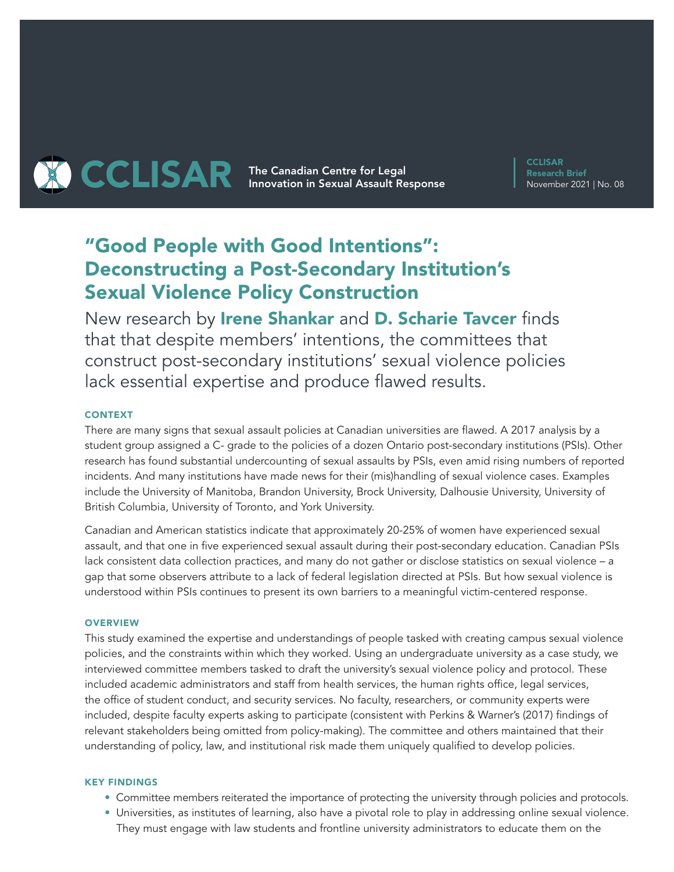

**CCLISAR** Research Brief November 2021 | No. 08

# "Good People with Good Intentions": Deconstructing a Post-Secondary Institution's Sexual Violence Policy Construction

New research by Irene Shankar and D. Scharie Tavcer finds that that despite members' intentions, the committees that construct post-secondary institutions' sexual violence policies lack essential expertise and produce flawed results.

## **CONTEXT**

There are many signs that sexual assault policies at Canadian universities are flawed. A 2017 analysis by a student group assigned a C- grade to the policies of a dozen Ontario post-secondary institutions (PSIs). Other research has found substantial undercounting of sexual assaults by PSIs, even amid rising numbers of reported incidents. And many institutions have made news for their (mis)handling of sexual violence cases. Examples include the University of Manitoba, Brandon University, Brock University, Dalhousie University, University of British Columbia, University of Toronto, and York University.

Canadian and American statistics indicate that approximately 20-25% of women have experienced sexual assault, and that one in five experienced sexual assault during their post-secondary education. Canadian PSIs lack consistent data collection practices, and many do not gather or disclose statistics on sexual violence – a gap that some observers attribute to a lack of federal legislation directed at PSIs. But how sexual violence is understood within PSIs continues to present its own barriers to a meaningful victim-centered response.

## **OVERVIEW**

This study examined the expertise and understandings of people tasked with creating campus sexual violence policies, and the constraints within which they worked. Using an undergraduate university as a case study, we interviewed committee members tasked to draft the university's sexual violence policy and protocol. These included academic administrators and staff from health services, the human rights office, legal services, the office of student conduct, and security services. No faculty, researchers, or community experts were included, despite faculty experts asking to participate (consistent with Perkins & Warner's (2017) findings of relevant stakeholders being omitted from policy-making). The committee and others maintained that their understanding of policy, law, and institutional risk made them uniquely qualified to develop policies.

### KEY FINDINGS

- Committee members reiterated the importance of protecting the university through policies and protocols.
- Universities, as institutes of learning, also have a pivotal role to play in addressing online sexual violence. They must engage with law students and frontline university administrators to educate them on the